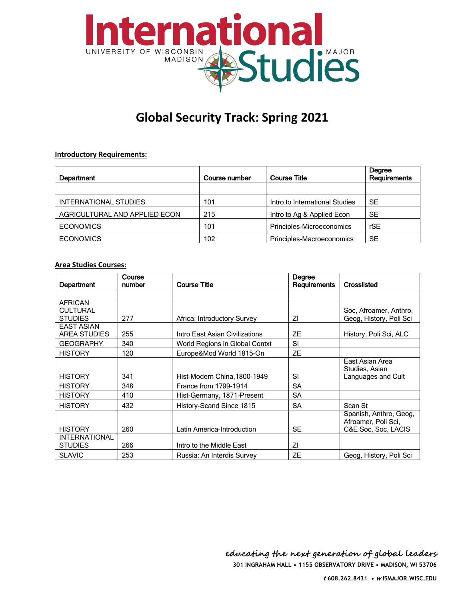

# **Global Security Track: Spring 2021**

# **Introductory Requirements:**

| Department                    | Course number | <b>Course Title</b>            | Degree<br><b>Requirements</b> |
|-------------------------------|---------------|--------------------------------|-------------------------------|
|                               |               |                                |                               |
| INTERNATIONAL STUDIES         | 101           | Intro to International Studies | <b>SE</b>                     |
| AGRICULTURAL AND APPLIED ECON | 215           | Intro to Ag & Applied Econ     | <b>SE</b>                     |
| <b>ECONOMICS</b>              | 101           | Principles-Microeconomics      | rSE                           |
| <b>ECONOMICS</b>              | 102           | Principles-Macroeconomics      | SE                            |

#### **Area Studies Courses:**

| Department                                          | Course<br>number | <b>Course Title</b>            | Degree<br><b>Requirements</b> | Crosslisted                                                          |
|-----------------------------------------------------|------------------|--------------------------------|-------------------------------|----------------------------------------------------------------------|
|                                                     |                  |                                |                               |                                                                      |
| <b>AFRICAN</b><br><b>CULTURAL</b><br><b>STUDIES</b> | 277              | Africa: Introductory Survey    | ΖI                            | Soc. Afroamer, Anthro.<br>Geog, History, Poli Sci                    |
| <b>EAST ASIAN</b><br><b>AREA STUDIES</b>            | 255              | Intro East Asian Civilizations | <b>ZE</b>                     | History, Poli Sci, ALC                                               |
| <b>GEOGRAPHY</b>                                    | 340              | World Regions in Global Contxt | SI                            |                                                                      |
| <b>HISTORY</b>                                      | 120              | Europe&Mod World 1815-On       | <b>ZE</b>                     |                                                                      |
| <b>HISTORY</b>                                      | 341              | Hist-Modern China, 1800-1949   | SI                            | East Asian Area<br>Studies, Asian<br>Languages and Cult              |
| <b>HISTORY</b>                                      | 348              | France from 1799-1914          | <b>SA</b>                     |                                                                      |
| <b>HISTORY</b>                                      | 410              | Hist-Germany, 1871-Present     | <b>SA</b>                     |                                                                      |
| <b>HISTORY</b>                                      | 432              | History-Scand Since 1815       | <b>SA</b>                     | Scan St                                                              |
| <b>HISTORY</b>                                      | 260              | Latin America-Introduction     | <b>SE</b>                     | Spanish, Anthro, Geog,<br>Afroamer, Poli Sci,<br>C&E Soc, Soc, LACIS |
| <b>INTERNATIONAL</b><br><b>STUDIES</b>              | 266              | Intro to the Middle East       | ΖI                            |                                                                      |
| <b>SLAVIC</b>                                       | 253              | Russia: An Interdis Survey     | ZΕ                            | Geog, History, Poli Sci                                              |

**301 INGRAHAM HALL • 1155 OBSERVATORY DRIVE • MADISON, WI 53706 educating the next generation of global leaders**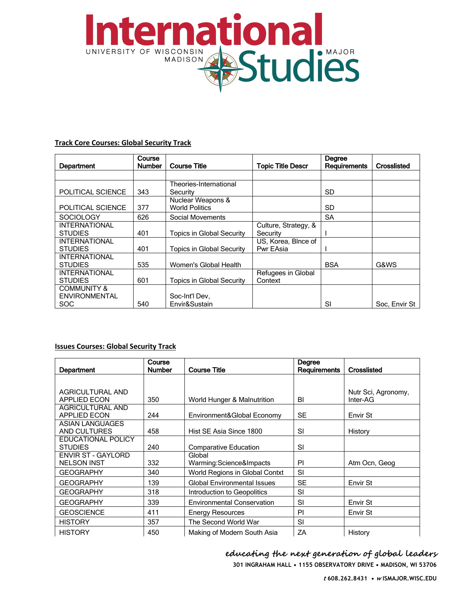

# **Track Core Courses: Global Security Track**

| Department                                                   | Course<br><b>Number</b> | <b>Course Title</b>                        | <b>Topic Title Descr</b>         | Degree<br><b>Requirements</b> | Crosslisted   |
|--------------------------------------------------------------|-------------------------|--------------------------------------------|----------------------------------|-------------------------------|---------------|
|                                                              |                         |                                            |                                  |                               |               |
| POLITICAL SCIENCE                                            | 343                     | Theories-International<br>Security         |                                  | SD                            |               |
| POLITICAL SCIENCE                                            | 377                     | Nuclear Weapons &<br><b>World Politics</b> |                                  | SD                            |               |
| <b>SOCIOLOGY</b>                                             | 626                     | Social Movements                           |                                  | SA                            |               |
| <b>INTERNATIONAL</b><br><b>STUDIES</b>                       | 401                     | <b>Topics in Global Security</b>           | Culture, Strategy, &<br>Security |                               |               |
| <b>INTERNATIONAL</b><br><b>STUDIES</b>                       | 401                     | <b>Topics in Global Security</b>           | US, Korea, Blnce of<br>Pwr EAsia |                               |               |
| <b>INTERNATIONAL</b><br><b>STUDIES</b>                       | 535                     | Women's Global Health                      |                                  | <b>BSA</b>                    | G&WS          |
| <b>INTERNATIONAL</b><br><b>STUDIES</b>                       | 601                     | <b>Topics in Global Security</b>           | Refugees in Global<br>Context    |                               |               |
| <b>COMMUNITY &amp;</b><br><b>ENVIRONMENTAL</b><br><b>SOC</b> | 540                     | Soc-Int'l Dev.<br>Envir&Sustain            |                                  | SI                            | Soc. Envir St |

# **Issues Courses: Global Security Track**

|                                 | Course        |                                    | Degree              |                     |
|---------------------------------|---------------|------------------------------------|---------------------|---------------------|
| <b>Department</b>               | <b>Number</b> | <b>Course Title</b>                | <b>Requirements</b> | <b>Crosslisted</b>  |
|                                 |               |                                    |                     |                     |
| AGRICULTURAL AND                |               |                                    |                     | Nutr Sci, Agronomy, |
| <b>APPLIED ECON</b>             | 350           | World Hunger & Malnutrition        | BI                  | Inter-AG            |
| <b>AGRICULTURAL AND</b>         |               |                                    |                     |                     |
| <b>APPLIED ECON</b>             | 244           | Environment&Global Economy         | <b>SE</b>           | Envir St            |
| ASIAN LANGUAGES<br>AND CULTURES | 458           | Hist SE Asia Since 1800            | SI                  | History             |
| EDUCATIONAL POLICY              |               |                                    |                     |                     |
| <b>STUDIES</b>                  | 240           | <b>Comparative Education</b>       | SI                  |                     |
| <b>ENVIR ST - GAYLORD</b>       |               | Global                             |                     |                     |
| <b>NELSON INST</b>              | 332           | Warming:Science&Impacts            | PI                  | Atm Ocn, Geog       |
| <b>GEOGRAPHY</b>                | 340           | World Regions in Global Contxt     | SI                  |                     |
| <b>GEOGRAPHY</b>                | 139           | <b>Global Environmental Issues</b> | <b>SE</b>           | Envir St            |
| <b>GEOGRAPHY</b>                | 318           | Introduction to Geopolitics        | SI                  |                     |
| <b>GEOGRAPHY</b>                | 339           | <b>Environmental Conservation</b>  | SI                  | Envir St            |
| <b>GEOSCIENCE</b>               | 411           | <b>Energy Resources</b>            | PI                  | Envir St            |
| <b>HISTORY</b>                  | 357           | The Second World War               | SI                  |                     |
| <b>HISTORY</b>                  | 450           | Making of Modern South Asia        | ΖA                  | History             |

educating the next generation of global leaders

301 INGRAHAM HALL . 1155 OBSERVATORY DRIVE . MADISON, WI 53706